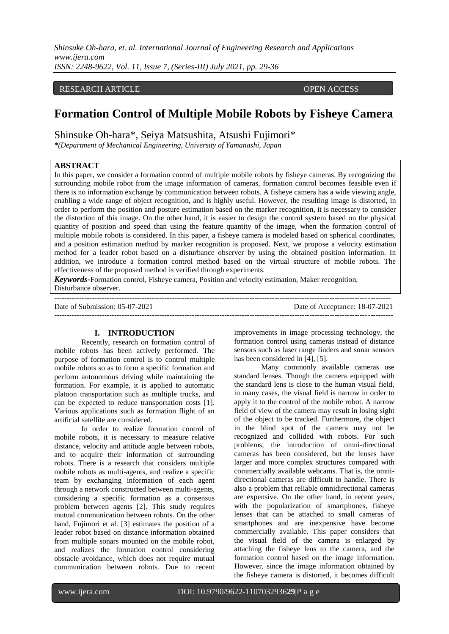### RESEARCH ARTICLE **ARTICLE** AND **OPEN ACCESS**

# **Formation Control of Multiple Mobile Robots by Fisheye Camera**

Shinsuke Oh-hara\*, Seiya Matsushita, Atsushi Fujimori\*

*\*(Department of Mechanical Engineering, University of Yamanashi, Japan*

# **ABSTRACT**

In this paper, we consider a formation control of multiple mobile robots by fisheye cameras. By recognizing the surrounding mobile robot from the image information of cameras, formation control becomes feasible even if there is no information exchange by communication between robots. A fisheye camera has a wide viewing angle, enabling a wide range of object recognition, and is highly useful. However, the resulting image is distorted, in order to perform the position and posture estimation based on the marker recognition, it is necessary to consider the distortion of this image. On the other hand, it is easier to design the control system based on the physical quantity of position and speed than using the feature quantity of the image, when the formation control of multiple mobile robots is considered. In this paper, a fisheye camera is modeled based on spherical coordinates, and a position estimation method by marker recognition is proposed. Next, we propose a velocity estimation method for a leader robot based on a disturbance observer by using the obtained position information. In addition, we introduce a formation control method based on the virtual structure of mobile robots. The effectiveness of the proposed method is verified through experiments.

*Keywords***-**Formation control, Fisheye camera, Position and velocity estimation, Maker recognition, Disturbance observer.

--------------------------------------------------------------------------------------------------------------------------------------

Date of Submission: 05-07-2021 Date of Acceptance: 18-07-2021

#### **I. INTRODUCTION**

Recently, research on formation control of mobile robots has been actively performed. The purpose of formation control is to control multiple mobile robots so as to form a specific formation and perform autonomous driving while maintaining the formation. For example, it is applied to automatic platoon transportation such as multiple trucks, and can be expected to reduce transportation costs [1]. Various applications such as formation flight of an artificial satellite are considered.

In order to realize formation control of mobile robots, it is necessary to measure relative distance, velocity and attitude angle between robots, and to acquire their information of surrounding robots. There is a research that considers multiple mobile robots as multi-agents, and realize a specific team by exchanging information of each agent through a network constructed between multi-agents, considering a specific formation as a consensus problem between agents [2]. This study requires mutual communication between robots. On the other hand, Fujimori et al. [3] estimates the position of a leader robot based on distance information obtained from multiple sonars mounted on the mobile robot, and realizes the formation control considering obstacle avoidance, which does not require mutual communication between robots. Due to recent

improvements in image processing technology, the formation control using cameras instead of distance sensors such as laser range finders and sonar sensors has been considered in [4], [5].

---------------------------------------------------------------------------------------------------------------------------------------

Many commonly available cameras use standard lenses. Though the camera equipped with the standard lens is close to the human visual field, in many cases, the visual field is narrow in order to apply it to the control of the mobile robot. A narrow field of view of the camera may result in losing sight of the object to be tracked. Furthermore, the object in the blind spot of the camera may not be recognized and collided with robots. For such problems, the introduction of omni-directional cameras has been considered, but the lenses have larger and more complex structures compared with commercially available webcams. That is, the omnidirectional cameras are difficult to handle. There is also a problem that reliable omnidirectional cameras are expensive. On the other hand, in recent years, with the popularization of smartphones, fisheye lenses that can be attached to small cameras of smartphones and are inexpensive have become commercially available. This paper considers that the visual field of the camera is enlarged by attaching the fisheye lens to the camera, and the formation control based on the image information. However, since the image information obtained by the fisheye camera is distorted, it becomes difficult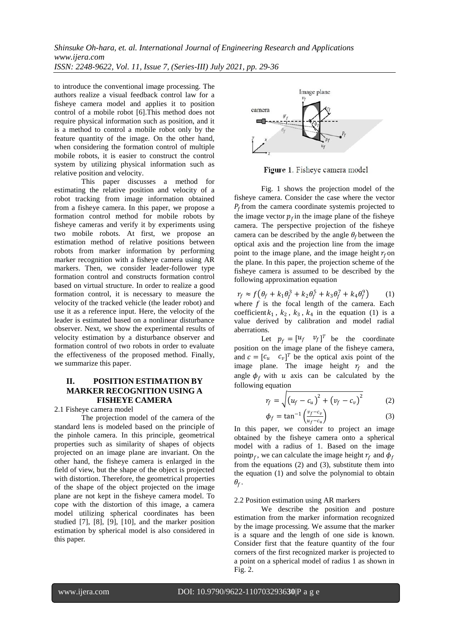to introduce the conventional image processing. The authors realize a visual feedback control law for a fisheye camera model and applies it to position control of a mobile robot [6].This method does not require physical information such as position, and it is a method to control a mobile robot only by the feature quantity of the image. On the other hand, when considering the formation control of multiple mobile robots, it is easier to construct the control system by utilizing physical information such as relative position and velocity.

This paper discusses a method for estimating the relative position and velocity of a robot tracking from image information obtained from a fisheye camera. In this paper, we propose a formation control method for mobile robots by fisheye cameras and verify it by experiments using two mobile robots. At first, we propose an estimation method of relative positions between robots from marker information by performing marker recognition with a fisheye camera using AR markers. Then, we consider leader-follower type formation control and constructs formation control based on virtual structure. In order to realize a good formation control, it is necessary to measure the velocity of the tracked vehicle (the leader robot) and use it as a reference input. Here, the velocity of the leader is estimated based on a nonlinear disturbance observer. Next, we show the experimental results of velocity estimation by a disturbance observer and formation control of two robots in order to evaluate the effectiveness of the proposed method. Finally, we summarize this paper.

# **II. POSITION ESTIMATION BY MARKER RECOGNITION USING A FISHEYE CAMERA**

2.1 Fisheye camera model

The projection model of the camera of the standard lens is modeled based on the principle of the pinhole camera. In this principle, geometrical properties such as similarity of shapes of objects projected on an image plane are invariant. On the other hand, the fisheye camera is enlarged in the field of view, but the shape of the object is projected with distortion. Therefore, the geometrical properties of the shape of the object projected on the image plane are not kept in the fisheye camera model. To cope with the distortion of this image, a camera model utilizing spherical coordinates has been studied [7], [8], [9], [10], and the marker position estimation by spherical model is also considered in this paper.



Figure 1. Fisheye camera model

Fig. 1 shows the projection model of the fisheye camera. Consider the case where the vector  $P_f$  from the camera coordinate systemis projected to the image vector  $p_f$  in the image plane of the fisheye camera. The perspective projection of the fisheye camera can be described by the angle  $\theta_f$  between the optical axis and the projection line from the image point to the image plane, and the image height  $r_f$  on the plane. In this paper, the projection scheme of the fisheye camera is assumed to be described by the following approximation equation

 $r_f \approx f(\theta_f + k_1\theta_f^3 + k_2\theta_f^5 + k_3\theta_f^7 + k_4\theta_f^9)$  (1) where  $f$  is the focal length of the camera. Each coefficient  $k_1$ ,  $k_2$ ,  $k_3$ ,  $k_4$  in the equation (1) is a value derived by calibration and model radial aberrations.

Let  $p_f = \begin{bmatrix} u_f & v_f \end{bmatrix}^T$  be the coordinate position on the image plane of the fisheye camera, and  $c = [c_u \ c_v]^T$  be the optical axis point of the image plane. The image height  $r_f$  and the angle  $\phi_f$  with u axis can be calculated by the following equation

$$
r_f = \sqrt{(u_f - c_u)^2 + (v_f - c_v)^2}
$$
 (2)

$$
\phi_f = \tan^{-1} \left( \frac{v_f - c_v}{u_f - c_u} \right) \tag{3}
$$

In this paper, we consider to project an image obtained by the fisheye camera onto a spherical model with a radius of 1. Based on the image point $p_f$ , we can calculate the image height  $r_f$  and  $\phi_f$ from the equations (2) and (3), substitute them into the equation (1) and solve the polynomial to obtain  $\theta_f$  .

#### 2.2 Position estimation using AR markers

We describe the position and posture estimation from the marker information recognized by the image processing. We assume that the marker is a square and the length of one side is known. Consider first that the feature quantity of the four corners of the first recognized marker is projected to a point on a spherical model of radius 1 as shown in Fig. 2.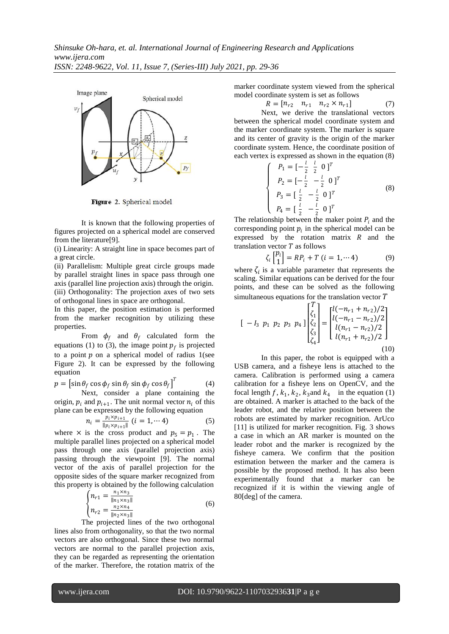

Figure 2. Spherical model

It is known that the following properties of figures projected on a spherical model are conserved from the literature[9].

(i) Linearity: A straight line in space becomes part of a great circle.

(ii) Parallelism: Multiple great circle groups made by parallel straight lines in space pass through one axis (parallel line projection axis) through the origin. (iii) Orthogonality: The projection axes of two sets of orthogonal lines in space are orthogonal.

In this paper, the position estimation is performed from the marker recognition by utilizing these properties.

From  $\phi_f$  and  $\theta_f$  calculated form the equations (1) to (3), the image point  $p_f$  is projected to a point  $p$  on a spherical model of radius 1(see Figure 2). It can be expressed by the following equation

$$
p = \left[ \sin \theta_f \cos \phi_f \sin \theta_f \sin \phi_f \cos \theta_f \right]^T
$$
 (4)

Next, consider a plane containing the origin,  $p_i$  and  $p_{i+1}$ . The unit normal vector  $n_i$  of this plane can be expressed by the following equation

$$
n_i = \frac{p_i \times p_{i+1}}{\|p_i \times p_{i+1}\|} \ (i = 1, \cdots 4)
$$
 (5)

where  $\times$  is the cross product and  $p_5 = p_1$ . The multiple parallel lines projected on a spherical model pass through one axis (parallel projection axis) passing through the viewpoint [9]. The normal vector of the axis of parallel projection for the opposite sides of the square marker recognized from this property is obtained by the following calculation

$$
\begin{cases} n_{r1} = \frac{n_1 \times n_3}{\|n_1 \times n_3\|} \\ n_{r2} = \frac{n_2 \times n_4}{\|n_2 \times n_3\|} \end{cases} \tag{6}
$$

The projected lines of the two orthogonal lines also from orthogonality, so that the two normal vectors are also orthogonal. Since these two normal vectors are normal to the parallel projection axis, they can be regarded as representing the orientation of the marker. Therefore, the rotation matrix of the

marker coordinate system viewed from the spherical model coordinate system is set as follows

 $R = [n_{r2} \quad n_{r1} \quad n_{r2} \times n_{r1}]$  (7)

Next, we derive the translational vectors between the spherical model coordinate system and the marker coordinate system. The marker is square and its center of gravity is the origin of the marker coordinate system. Hence, the coordinate position of each vertex is expressed as shown in the equation (8)

$$
\begin{cases}\nP_1 = \left[-\frac{l}{2} \quad \frac{l}{2} \quad 0\right]^T \\
P_2 = \left[-\frac{l}{2} \quad -\frac{l}{2} \quad 0\right]^T \\
P_3 = \left[\frac{l}{2} \quad -\frac{l}{2} \quad 0\right]^T \\
P_4 = \left[\frac{l}{2} \quad -\frac{l}{2} \quad 0\right]^T\n\end{cases} \tag{8}
$$

The relationship between the maker point  $P_i$  and the corresponding point  $p_i$  in the spherical model can be expressed by the rotation matrix  $R$  and the translation vector  $T$  as follows

$$
\zeta_i \begin{bmatrix} p_i \\ 1 \end{bmatrix} = RP_i + T \ (i = 1, \cdots 4)
$$
 (9)

where  $\zeta_i$  is a variable parameter that represents the scaling. Similar equations can be derived for the four points, and these can be solved as the following simultaneous equations for the translation vector  $T$ 

$$
\begin{bmatrix} -I_3 & p_1 & p_2 & p_3 & p_4 \end{bmatrix} \begin{bmatrix} T \\ \zeta_1 \\ \zeta_2 \\ \zeta_3 \\ \zeta_4 \end{bmatrix} = \begin{bmatrix} l(-n_{r1} + n_{r2})/2 \\ l(-n_{r1} - n_{r2})/2 \\ l(n_{r1} - n_{r2})/2 \\ l(n_{r1} + n_{r2})/2 \end{bmatrix}
$$
\n(10)

In this paper, the robot is equipped with a USB camera, and a fisheye lens is attached to the camera. Calibration is performed using a camera calibration for a fisheye lens on OpenCV, and the focal length  $f$ ,  $k_1$ ,  $k_2$ ,  $k_3$  and  $k_4$  in the equation (1) are obtained. A marker is attached to the back of the leader robot, and the relative position between the robots are estimated by marker recognition. ArUco [11] is utilized for marker recognition. Fig. 3 shows a case in which an AR marker is mounted on the leader robot and the marker is recognized by the fisheye camera. We confirm that the position estimation between the marker and the camera is possible by the proposed method. It has also been experimentally found that a marker can be recognized if it is within the viewing angle of 80[deg] of the camera.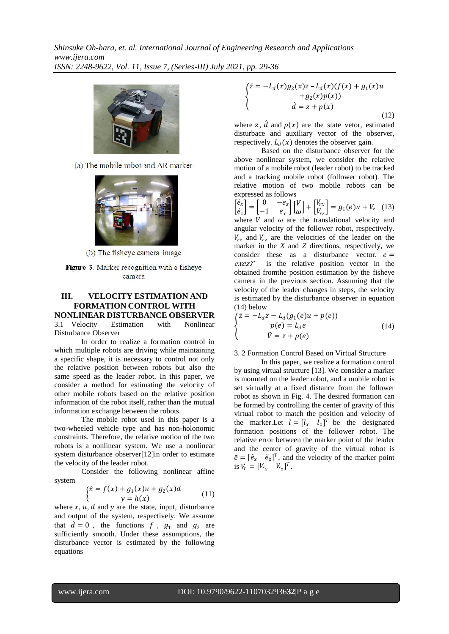

(a) The mobile robot and AR marker



(b) The fisheye camera image

Figure 3. Marker recognition with a fisheye camera

# **III. VELOCITY ESTIMATION AND FORMATION CONTROL WITH**

**NONLINEAR DISTURBANCE OBSERVER**<br>3.1 Velocity Estimation with Nonlinear 3.1 Velocity Estimation with Nonlinear Disturbance Observer

In order to realize a formation control in which multiple robots are driving while maintaining a specific shape, it is necessary to control not only the relative position between robots but also the same speed as the leader robot. In this paper, we consider a method for estimating the velocity of other mobile robots based on the relative position information of the robot itself, rather than the mutual information exchange between the robots.

The mobile robot used in this paper is a two-wheeled vehicle type and has non-holonomic constraints. Therefore, the relative motion of the two robots is a nonlinear system. We use a nonlinear system disturbance observer[12]in order to estimate the velocity of the leader robot.

Consider the following nonlinear affine system

$$
\begin{cases}\n\dot{x} = f(x) + g_1(x)u + g_2(x)d \\
y = h(x)\n\end{cases} (11)
$$

where  $x$ ,  $u$ ,  $d$  and  $y$  are the state, input, disturbance and output of the system, respectively. We assume that  $\dot{d} = 0$ , the functions f,  $g_1$  and  $g_2$  are sufficiently smooth. Under these assumptions, the disturbance vector is estimated by the following equations

$$
\begin{cases}\n\dot{z} = -L_d(x)g_2(x)z - L_d(x)(f(x) + g_1(x)u \\
+ g_2(x)p(x)) \\
\hat{d} = z + p(x)\n\end{cases}
$$
\n(12)

where z,  $\hat{d}$  and  $p(x)$  are the state vetor, estimated disturbace and auxiliary vector of the observer, respectively.  $L_d(x)$  denotes the observer gain.

Based on the disturbance observer for the above nonlinear system, we consider the relative motion of a mobile robot (leader robot) to be tracked and a tracking mobile robot (follower robot). The relative motion of two mobile robots can be expressed as follows

$$
\begin{bmatrix} \dot{e}_x \\ \dot{e}_z \end{bmatrix} = \begin{bmatrix} 0 & -e_z \\ -1 & e_x \end{bmatrix} \begin{bmatrix} V \\ \omega \end{bmatrix} + \begin{bmatrix} V_{rx} \\ V_{rz} \end{bmatrix} = g_1(e)u + V_r
$$
 (13)  
where *V* and  $\omega$  are the translational velocity and  
angular velocity of the follower robot, respectively.  
 $V_{rx}$  and  $V_{rz}$  are the velocities of the leader on the  
marker in the *X* and *Z* directions, respectively, we  
consider these as a disturbance vector.  $e =$   
*exezT* is the relative position vector in the

obtained fromthe position estimation by the fisheye camera in the previous section. Assuming that the velocity of the leader changes in steps, the velocity is estimated by the disturbance observer in equation (14) below

$$
\begin{cases}\n\dot{z} = -L_d z - L_d (g_1(e)u + p(e)) \\
p(e) = L_d e \\
\hat{V} = z + p(e)\n\end{cases}
$$
\n(14)

#### 3. 2 Formation Control Based on Virtual Structure

In this paper, we realize a formation control by using virtual structure [13]. We consider a marker is mounted on the leader robot, and a mobile robot is set virtually at a fixed distance from the follower robot as shown in Fig. 4. The desired formation can be formed by controlling the center of gravity of this virtual robot to match the position and velocity of the marker. Let  $l = [l_x \quad l_z]^T$  be the designated formation positions of the follower robot. The relative error between the marker point of the leader and the center of gravity of the virtual robot is  $\tilde{e} = [\tilde{e}_x \quad \tilde{e}_z]^T$ , and the velocity of the marker point is  $V_r = [V_{r_x} \quad V_{r_z}]^T$ .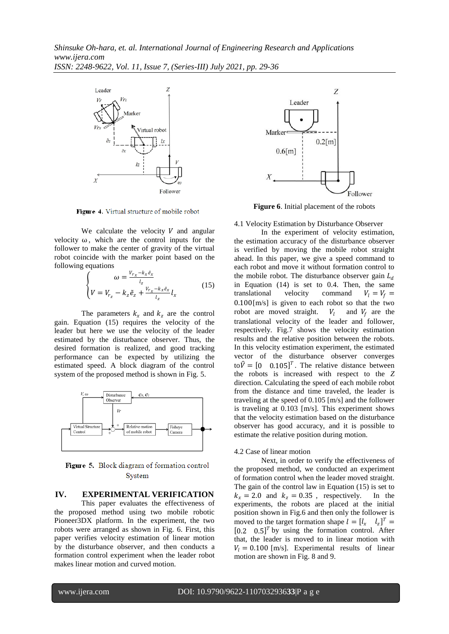

Figure 4. Virtual structure of mobile robot

We calculate the velocity  $V$  and angular velocity  $\omega$ , which are the control inputs for the follower to make the center of gravity of the virtual robot coincide with the marker point based on the following equations

$$
\begin{cases}\n\omega = \frac{V_{r_x} - k_x \tilde{e}_x}{l_z} \\
V = V_{r_z} - k_z \tilde{e}_z + \frac{V_{r_x} - k_x \tilde{e}_x}{l_z} l_x\n\end{cases}
$$
\n(15)

The parameters  $k_x$  and  $k_z$  are the control gain. Equation (15) requires the velocity of the leader but here we use the velocity of the leader estimated by the disturbance observer. Thus, the desired formation is realized, and good tracking performance can be expected by utilizing the estimated speed. A block diagram of the control system of the proposed method is shown in Fig. 5.



Figure 5. Block diagram of formation control System

#### **IV. EXPERIMENTAL VERIFICATION**

This paper evaluates the effectiveness of the proposed method using two mobile robotic Pioneer3DX platform. In the experiment, the two robots were arranged as shown in Fig. 6. First, this paper verifies velocity estimation of linear motion by the disturbance observer, and then conducts a formation control experiment when the leader robot makes linear motion and curved motion.



**Figure 6**. Initial placement of the robots

4.1 Velocity Estimation by Disturbance Observer

In the experiment of velocity estimation, the estimation accuracy of the disturbance observer is verified by moving the mobile robot straight ahead. In this paper, we give a speed command to each robot and move it without formation control to the mobile robot. The disturbance observer gain  $L_d$ in Equation (14) is set to 0.4. Then, the same translational velocity command  $V_1 = V_f =$ 0.100[m/s] is given to each robot so that the two robot are moved straight.  $V_l$  and  $V_f$  are the translational velocity of the leader and follower, respectively. Fig.7 shows the velocity estimation results and the relative position between the robots. In this velocity estimation experiment, the estimated vector of the disturbance observer converges to  $\hat{V} = \begin{bmatrix} 0 & 0.105 \end{bmatrix}^T$ . The relative distance between the robots is increased with respect to the *Z* direction. Calculating the speed of each mobile robot from the distance and time traveled, the leader is traveling at the speed of 0.105 [m/s] and the follower is traveling at 0.103 [m/s]. This experiment shows that the velocity estimation based on the disturbance observer has good accuracy, and it is possible to estimate the relative position during motion.

#### 4.2 Case of linear motion

Next, in order to verify the effectiveness of the proposed method, we conducted an experiment of formation control when the leader moved straight. The gain of the control law in Equation (15) is set to  $k_x = 2.0$  and  $k_z = 0.35$ , respectively. In the experiments, the robots are placed at the initial position shown in Fig.6 and then only the follower is moved to the target formation shape  $l = [l_x \quad l_z]^T =$  $[0.2 \quad 0.5]^T$  by using the formation control. After that, the leader is moved to in linear motion with  $V_l = 0.100$  [m/s]. Experimental results of linear motion are shown in Fig. 8 and 9.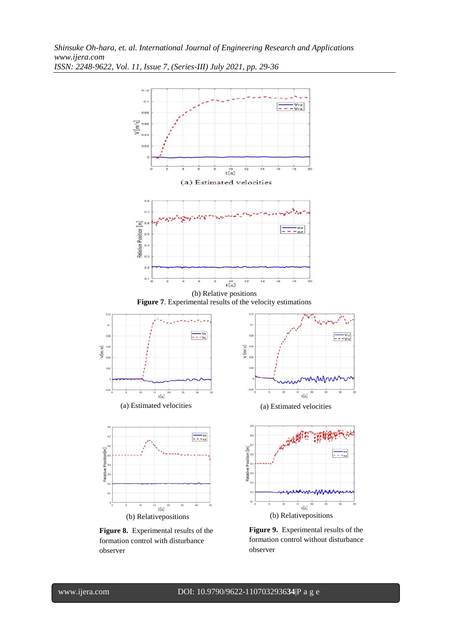

**Figure 9.** Experimental results of the formation control without disturbance observer

observer

Relative Position[m]

 $\alpha$ 

 $V[m/s]$ 

formation control with disturbance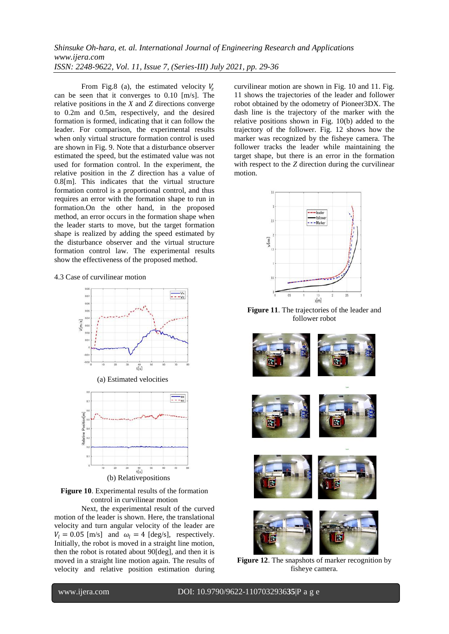From Fig.8 (a), the estimated velocity  $V_z$ can be seen that it converges to 0.10 [m/s]. The relative positions in the *X* and *Z* directions converge to 0.2m and 0.5m, respectively, and the desired formation is formed, indicating that it can follow the leader. For comparison, the experimental results when only virtual structure formation control is used are shown in Fig. 9. Note that a disturbance observer estimated the speed, but the estimated value was not used for formation control. In the experiment, the relative position in the *Z* direction has a value of 0.8[m]. This indicates that the virtual structure formation control is a proportional control, and thus requires an error with the formation shape to run in formation.On the other hand, in the proposed method, an error occurs in the formation shape when the leader starts to move, but the target formation shape is realized by adding the speed estimated by the disturbance observer and the virtual structure formation control law. The experimental results show the effectiveness of the proposed method.

#### 4.3 Case of curvilinear motion



**Figure 10**. Experimental results of the formation control in curvilinear motion

Next, the experimental result of the curved motion of the leader is shown. Here, the translational velocity and turn angular velocity of the leader are  $V_l = 0.05$  [m/s] and  $\omega_l = 4$  [deg/s], respectively. Initially, the robot is moved in a straight line motion, then the robot is rotated about 90[deg], and then it is moved in a straight line motion again. The results of velocity and relative position estimation during curvilinear motion are shown in Fig. 10 and 11. Fig. 11 shows the trajectories of the leader and follower robot obtained by the odometry of Pioneer3DX. The dash line is the trajectory of the marker with the relative positions shown in Fig. 10(b) added to the trajectory of the follower. Fig. 12 shows how the marker was recognized by the fisheye camera. The follower tracks the leader while maintaining the target shape, but there is an error in the formation with respect to the *Z* direction during the curvilinear motion.



**Figure 11**. The trajectories of the leader and follower robot



**Figure 12**. The snapshots of marker recognition by fisheye camera.